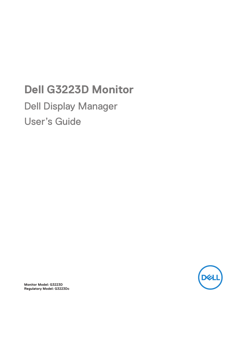## **Dell G3223D Monitor**

Dell Display Manager User's Guide



**Monitor Model: G3223D Regulatory Model: G3223Dc**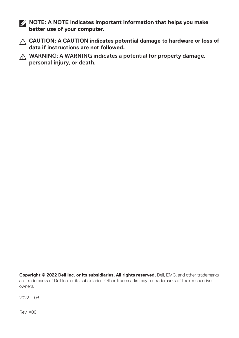**NOTE: A NOTE indicates important information that helps you make better use of your computer.**

- **CAUTION: A CAUTION indicates potential damage to hardware or loss of data if instructions are not followed.**
- A WARNING: A WARNING indicates a potential for property damage, personal injury, or death.

**Copyright © 2022 Dell Inc. or its subsidiaries. All rights reserved.** Dell, EMC, and other trademarks are trademarks of Dell Inc. or its subsidiaries. Other trademarks may be trademarks of their respective owners.

 $2022 - 03$ 

Rev. A00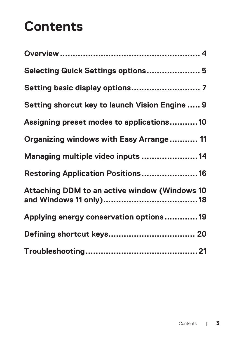# **Contents**

| Selecting Quick Settings options 5             |
|------------------------------------------------|
|                                                |
| Setting shorcut key to launch Vision Engine  9 |
| Assigning preset modes to applications10       |
| Organizing windows with Easy Arrange 11        |
| Managing multiple video inputs  14             |
| Restoring Application Positions 16             |
| Attaching DDM to an active window (Windows 10  |
| Applying energy conservation options19         |
|                                                |
|                                                |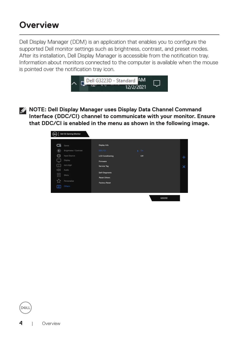#### <span id="page-3-0"></span>**Overview**

Dell Display Manager (DDM) is an application that enables you to configure the supported Dell monitor settings such as brightness, contrast, and preset modes. After its installation, Dell Display Manager is accessible from the notification tray. Information about monitors connected to the computer is available when the mouse is pointed over the notification tray icon.



**NOTE: Dell Display Manager uses Display Data Channel Command Interface (DDC/CI) channel to communicate with your monitor. Ensure that DDC/CI is enabled in the menu as shown in the following image.**



DØJ I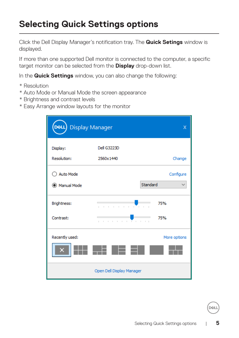#### <span id="page-4-0"></span>**Selecting Quick Settings options**

Click the Dell Display Manager's notification tray. The **Quick Setings** window is displayed.

If more than one supported Dell monitor is connected to the computer, a specific target monitor can be selected from the **Display** drop-down list.

In the **Quick Settings** window, you can also change the following:

- \* Resolution
- \* Auto Mode or Manual Mode the screen appearance
- \* Brightness and contrast levels
- \* Easy Arrange window layouts for the monitor

| DeLL Display Manager           |                                                                             | х            |
|--------------------------------|-----------------------------------------------------------------------------|--------------|
| Display:<br>Resolution:        | Dell G3223D<br>2560x1440                                                    | Change       |
| ◯ Auto Mode<br>(C) Manual Mode | Standard                                                                    | Configure    |
| Brightness:<br>Contrast:       | the committee of the com-<br>$\mathbb{L}$<br>$\mathbb{R}$<br>. <del>.</del> | 75%<br>75%   |
| Recently used:                 |                                                                             | More options |
|                                | Open Dell Display Manager                                                   |              |

**DEA**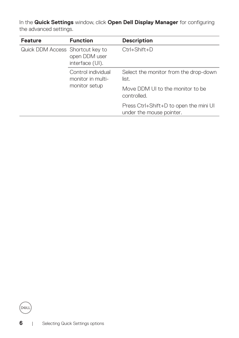In the **Quick Settings** window, click **Open Dell Display Manager** for configuring the advanced settings.

| <b>Feature</b>                   | <b>Function</b>                                 | <b>Description</b>                                                 |
|----------------------------------|-------------------------------------------------|--------------------------------------------------------------------|
| Quick DDM Access Shortcut key to | open DDM user<br>interface (UI).                | $Ctrl + Shift + D$                                                 |
|                                  | Control individual<br>monitor in multi-         | Select the monitor from the drop-down<br>list.                     |
| monitor setup                    | Move DDM UI to the monitor to be<br>controlled. |                                                                    |
|                                  |                                                 | Press Ctrl+Shift+D to open the mini UI<br>under the mouse pointer. |

(dell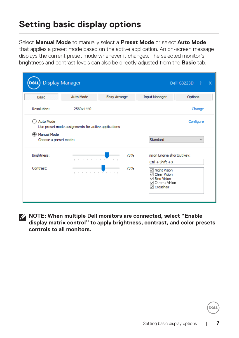#### <span id="page-6-0"></span>**Setting basic display options**

Select **Manual Mode** to manually select a **Preset Mode** or select **Auto Mode**

that applies a preset mode based on the active application. An on-screen message displays the current preset mode whenever it changes. The selected monitor's brightness and contrast levels can also be directly adjusted from the **Basic** tab.

| <b>Display Manager</b>               |                                                     |                       |                                                                                                                    | Dell G3223D<br>-? | $\boldsymbol{\mathsf{x}}$ |
|--------------------------------------|-----------------------------------------------------|-----------------------|--------------------------------------------------------------------------------------------------------------------|-------------------|---------------------------|
| <b>Basic</b>                         | Auto Mode                                           | Easy Arrange          | <b>Input Manager</b>                                                                                               | Options           |                           |
| Resolution:                          | 2560x1440                                           |                       |                                                                                                                    | Change            |                           |
| Auto Mode                            | Use preset mode assignments for active applications |                       |                                                                                                                    | Configure         |                           |
| Manual Mode<br>Choose a preset mode: |                                                     |                       | Standard                                                                                                           | $\checkmark$      |                           |
| Brightness:                          |                                                     | 75%                   | Vision Engine shortcut key:                                                                                        |                   |                           |
|                                      |                                                     | and a straightform of | $CtrI + Shift + X$                                                                                                 |                   |                           |
| Contrast:                            |                                                     | 75%<br>.              | $\sqrt{ }$ Night Vision<br>$\vee$ Clear Vision<br><b>Bino Vision</b><br>✓<br><b>○</b> Chroma Vision<br>√ Crosshair |                   |                           |
|                                      |                                                     |                       |                                                                                                                    |                   |                           |

**NOTE: When multiple Dell monitors are connected, select "Enable display matrix control" to apply brightness, contrast, and color presets controls to all monitors.**

DEL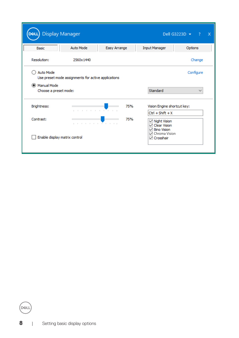| <b>Display Manager</b>        |                                                     |                                              |                                                                                                        | Dell G3223D $\blacktriangleright$<br>-2 | $\mathsf{x}$ |
|-------------------------------|-----------------------------------------------------|----------------------------------------------|--------------------------------------------------------------------------------------------------------|-----------------------------------------|--------------|
| Basic                         | <b>Auto Mode</b>                                    | Easy Arrange                                 | <b>Input Manager</b>                                                                                   | Options                                 |              |
| Resolution:                   | 2560x1440                                           |                                              |                                                                                                        | Change                                  |              |
| <b>Auto Mode</b>              | Use preset mode assignments for active applications |                                              |                                                                                                        | Configure                               |              |
| (C) Manual Mode               |                                                     |                                              |                                                                                                        |                                         |              |
| Choose a preset mode:         |                                                     |                                              | Standard                                                                                               | $\checkmark$                            |              |
| Brightness:                   |                                                     | 75%<br>the committee of the committee of the | Vision Engine shortcut key:                                                                            |                                         |              |
|                               |                                                     |                                              | $Ctrl + Shift + X$                                                                                     |                                         |              |
| Contrast:                     |                                                     | 75%<br>. <del>.</del>                        | <b>⊠</b> Night Vision<br><b>Clear Vision</b><br>✓<br><b>Bino Vision</b><br>◡<br><b>▽</b> Chroma Vision |                                         |              |
| Enable display matrix control |                                                     |                                              | <b>▽ Crosshair</b>                                                                                     |                                         |              |

(dell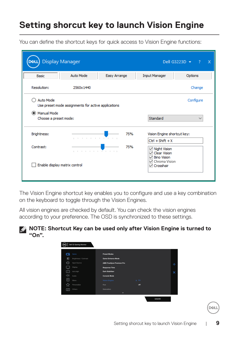#### <span id="page-8-0"></span>**Setting shorcut key to launch Vision Engine**

You can define the shortcut keys for quick access to Vision Engine functions:

|                                                          |                                                     |              |                                                                                | Dell G3223D v<br>-2       |
|----------------------------------------------------------|-----------------------------------------------------|--------------|--------------------------------------------------------------------------------|---------------------------|
| <b>Basic</b>                                             | Auto Mode                                           | Easy Arrange | <b>Input Manager</b>                                                           | Options                   |
| Resolution:                                              | 2560x1440                                           |              |                                                                                | Change                    |
| <b>Auto Mode</b><br>Manual Mode<br>Choose a preset mode: | Use preset mode assignments for active applications |              | Standard                                                                       | Configure<br>$\checkmark$ |
| Brightness:                                              |                                                     | 75%          | Vision Engine shortcut key:                                                    |                           |
| Contrast:                                                | .                                                   | .<br>75%     | $CtrI + Shift + X$<br>$\sqrt{ }$ Night Vision<br>$\triangledown$ Clear Vision  |                           |
| Enable display matrix control                            |                                                     |              | <b>Bino Vision</b><br>✓<br>$\triangledown$ Chroma Vision<br><b>√</b> Crosshair |                           |

The Vision Engine shortcut key enables you to configure and use a key combination on the keyboard to toggle through the Vision Engines.

All vision engines are checked by default. You can check the vision engines according to your preference. The OSD is synchronized to these settings.





**DEL**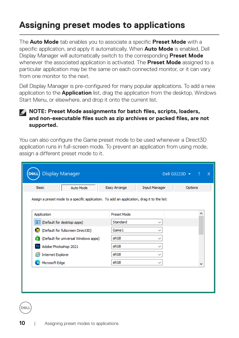#### <span id="page-9-0"></span>**Assigning preset modes to applications**

The **Auto Mode** tab enables you to associate a specific **Preset Mode** with a specific application, and apply it automatically. When **Auto Mode** is enabled, Dell Display Manager will automatically switch to the corresponding **Preset Mode** whenever the associated application is activated. The **Preset Mode** assigned to a particular application may be the same on each connected monitor, or it can vary from one monitor to the next.

Dell Display Manager is pre-configured for many popular applications. To add a new application to the **Application** list, drag the application from the desktop, Windows Start Menu, or elsewhere, and drop it onto the current list.

#### **NOTE: Preset Mode assignments for batch files, scripts, loaders, and non-executable files such as zip archives or packed files, are not supported.**

You can also configure the Game preset mode to be used whenever a Direct3D application runs in full-screen mode. To prevent an application from using mode, assign a different preset mode to it.

| Assign a preset mode to a specific application. To add an application, drag it to the list: |                    |             |  |
|---------------------------------------------------------------------------------------------|--------------------|-------------|--|
|                                                                                             |                    |             |  |
|                                                                                             |                    |             |  |
| Application                                                                                 | <b>Preset Mode</b> |             |  |
| (Default for desktop apps)                                                                  | Standard           | $\check{ }$ |  |
| (Default for fullscreen Direct3D)                                                           | Game 1             |             |  |
| (Default for universal Windows apps)                                                        | <b>sRGB</b>        |             |  |
| Adobe Photoshop 2021<br>Ps                                                                  | <b>sRGB</b>        | $\check{ }$ |  |
| <b>Internet Explorer</b>                                                                    | <b>sRGB</b>        |             |  |
|                                                                                             |                    |             |  |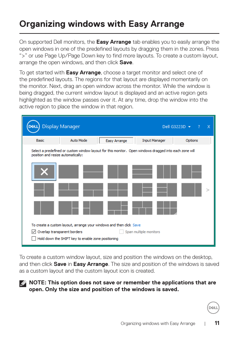#### <span id="page-10-0"></span>**Organizing windows with Easy Arrange**

On supported Dell monitors, the **Easy Arrange** tab enables you to easily arrange the open windows in one of the predefined layouts by dragging them in the zones. Press ">" or use Page Up/Page Down key to find more layouts. To create a custom layout, arrange the open windows, and then click **Save**.

To get started with **Easy Arrange**, choose a target monitor and select one of the predefined layouts. The regions for that layout are displayed momentarily on the monitor. Next, drag an open window across the monitor. While the window is being dragged, the current window layout is displayed and an active region gets highlighted as the window passes over it. At any time, drop the window into the active region to place the window in that region.



To create a custom window layout, size and position the windows on the desktop, and then click **Save** in **Easy Arrange**. The size and position of the windows is saved as a custom layout and the custom layout icon is created.

**NOTE: This option does not save or remember the applications that are open. Only the size and position of the windows is saved.**

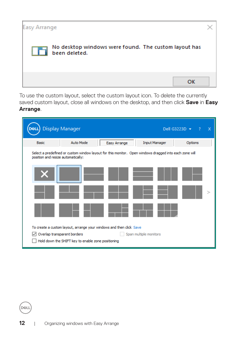

To use the custom layout, select the custom layout icon. To delete the currently saved custom layout, close all windows on the desktop, and then click **Save** in **Easy Arrange**.

|                                    | <b>Display Manager</b>                                                                                 |                        | Dell G3223D $\blacktriangledown$ | x<br>? |
|------------------------------------|--------------------------------------------------------------------------------------------------------|------------------------|----------------------------------|--------|
| Basic                              | Auto Mode<br>Easy Arrange                                                                              | <b>Input Manager</b>   | Options                          |        |
| position and resize automatically: | Select a predefined or custom window layout for this monitor. Open windows dragged into each zone will |                        |                                  |        |
|                                    |                                                                                                        |                        |                                  |        |
|                                    |                                                                                                        |                        |                                  |        |
|                                    | To create a custom layout, arrange your windows and then click Save                                    |                        |                                  |        |
|                                    | Overlap transparent borders<br>Hold down the SHIFT key to enable zone positioning                      | Span multiple monitors |                                  |        |

**D**ELL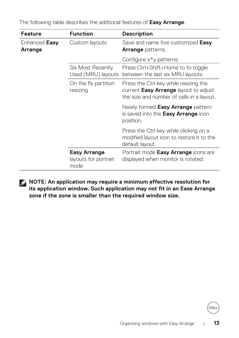| <b>Feature</b>           | <b>Function</b>                                     | <b>Description</b>                                                                                                                 |
|--------------------------|-----------------------------------------------------|------------------------------------------------------------------------------------------------------------------------------------|
| Enhanced Easy<br>Arrange | Custom layouts                                      | Save and name five customized Easy<br><b>Arrange patterns.</b>                                                                     |
|                          |                                                     | Configure $x^*y$ patterns.                                                                                                         |
|                          | Six Most Recently<br>Used (MRU) layouts             | Press Ctrl+Shift+Home to to toggle<br>between the last six MRU layouts.                                                            |
|                          | On the fly partition<br>resizing                    | Press the Ctrl key while resizing the<br>current <b>Easy Arrange</b> layout to adjust<br>the size and number of cells in a layout. |
|                          |                                                     | Newly formed <b>Easy Arrange</b> pattern<br>is saved into the <b>Easy Arrange</b> icon<br>position.                                |
|                          |                                                     | Press the Ctrl key while clicking on a<br>modified layout icon to restore it to the<br>default layout.                             |
|                          | <b>Easy Arrange</b><br>layouts for portrait<br>mode | Portrait mode <b>Easy Arrange</b> icons are<br>displayed when monitor is rotated.                                                  |

The following table describes the addtional features of **Easy Arrange**.



**NOTE: An application may require a minimum effective resolution for its application window. Such application may not fit in an Ease Arrange zone if the zone is smaller than the required window size.** 

DELI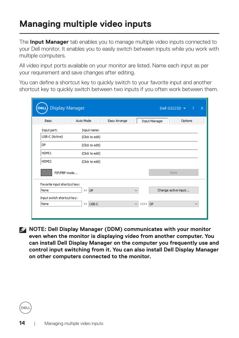#### <span id="page-13-0"></span>**Managing multiple video inputs**

The **Input Manager** tab enables you to manage multiple video inputs connected to your Dell monitor. It enables you to easily switch between inputs while you work with multiple computers.

All video input ports available on your monitor are listed. Name each input as per your requirement and save changes after editing.

You can define a shortcut key to quickly switch to your favorite input and another shortcut key to quickly switch between two inputs if you often work between them.

| <b>Display Manager</b><br>DELI |                     |              |                                                      | Dell G3223D $\blacktriangledown$<br>$\overline{?}$ |
|--------------------------------|---------------------|--------------|------------------------------------------------------|----------------------------------------------------|
| <b>Basic</b>                   | <b>Auto Mode</b>    | Easy Arrange | <b>Input Manager</b>                                 | Options                                            |
| Input port:                    | Input name:         |              |                                                      |                                                    |
| USB-C (Active)                 | (Click to edit)     |              |                                                      |                                                    |
| <b>DP</b>                      | (Click to edit)     |              |                                                      |                                                    |
| HDMI1                          | (Click to edit)     |              |                                                      |                                                    |
| HDMI <sub>2</sub>              | (Click to edit)     |              |                                                      |                                                    |
| PIP/PBP mode                   |                     |              |                                                      | Save                                               |
| Favorite input shortcut key:   |                     |              |                                                      |                                                    |
| None                           | $\rightarrow$<br>DP |              | $\checkmark$                                         | Change active input                                |
| Input switch shortcut key:     |                     |              |                                                      |                                                    |
| None                           | >> USB-C            |              | $\checkmark$<br>$\langle \langle \rangle \rangle$ DP | $\checkmark$                                       |
|                                |                     |              |                                                      |                                                    |

**NOTE: Dell Display Manager (DDM) communicates with your monitor even when the monitor is displaying video from another computer. You can install Dell Display Manager on the computer you frequently use and control input switching from it. You can also install Dell Display Manager on other computers connected to the monitor.**

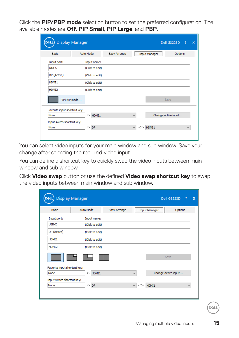Click the **PIP/PBP mode** selection button to set the preferred configuration. The available modes are **Off**, **PIP Small**, **PIP Large**, and **PBP**.

| DELI                         | <b>Display Manager</b> |              |                            | Dell G3223D<br>$\overline{\mathbf{x}}$<br>$\frac{1}{2}$ |
|------------------------------|------------------------|--------------|----------------------------|---------------------------------------------------------|
| <b>Basic</b>                 | <b>Auto Mode</b>       | Easy Arrange | <b>Input Manager</b>       | Options                                                 |
| Input port:                  | Input name:            |              |                            |                                                         |
| USB-C                        | (Click to edit)        |              |                            |                                                         |
| DP (Active)                  | (Click to edit)        |              |                            |                                                         |
| HDMT <sub>1</sub>            | (Click to edit)        |              |                            |                                                         |
| HDMI <sub>2</sub>            | (Click to edit)        |              |                            |                                                         |
| PIP/PBP mode                 |                        |              |                            | Save                                                    |
| Favorite input shortcut key: |                        |              |                            |                                                         |
| None                         | >> HDMI1               |              | $\checkmark$               | Change active input                                     |
| Input switch shortcut key:   |                        |              |                            |                                                         |
| None                         | $\rightarrow$<br>DP    |              | <<>> HDMI1<br>$\checkmark$ | $\checkmark$                                            |

You can select video inputs for your main window and sub window. Save your change after selecting the required video input.

You can define a shortcut key to quickly swap the video inputs between main window and sub window.

Click **Video swap** button or use the defined **Video swap shortcut key** to swap the video inputs between main window and sub window.

| Basic                        | Auto Mode           | Easy Arrange |              | <b>Input Manager</b> | Options      |
|------------------------------|---------------------|--------------|--------------|----------------------|--------------|
| Input port:                  | Input name:         |              |              |                      |              |
| USB-C                        | (Click to edit)     |              |              |                      |              |
| DP (Active)                  | (Click to edit)     |              |              |                      |              |
| HDMT <sub>1</sub>            | (Click to edit)     |              |              |                      |              |
| HDMI2                        | (Click to edit)     |              |              |                      |              |
|                              |                     |              |              | Save                 |              |
| Favorite input shortcut key: |                     |              |              |                      |              |
| None                         | >> HDMI1            |              | $\checkmark$ | Change active input  |              |
| Input switch shortcut key:   |                     |              |              |                      |              |
| None                         | DP<br>$\rightarrow$ |              | $\checkmark$ | <<>> HDMI1           | $\checkmark$ |

DØL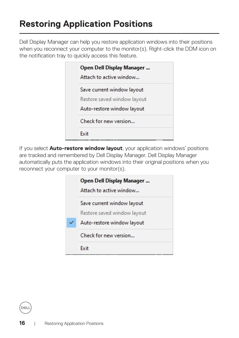#### <span id="page-15-0"></span>**Restoring Application Positions**

Dell Display Manager can help you restore application windows into their positions when you reconnect your computer to the monitor(s). Right-click the DDM icon on the notification tray to quickly access this feature.

|  | Open Dell Display Manager<br>Attach to active window                                    |
|--|-----------------------------------------------------------------------------------------|
|  | Save current window layout<br>Restore saved window layout<br>Auto-restore window layout |
|  | Check for new version                                                                   |
|  | Fvit                                                                                    |

If you select **Auto-restore window layout**, your application windows' positions are tracked and remembered by Dell Display Manager. Dell Display Manager automatically puts the application windows into their original positions when you reconnect your computer to your monitor(s).

| Open Dell Display Manager<br>Attach to active window |
|------------------------------------------------------|
| Save current window layout                           |
| Restore saved window layout                          |
| Auto-restore window layout                           |
| Check for new version                                |
| Fvit                                                 |

**D**&LI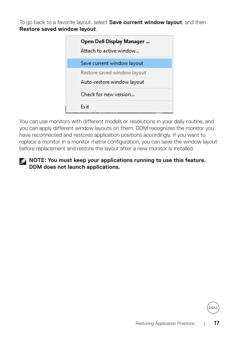To go back to a favorite layout, select **Save current window layout**, and then **Restore saved window layout**.

|  | Open Dell Display Manager<br>Attach to active window |
|--|------------------------------------------------------|
|  | Save current window layout                           |
|  | Restore saved window layout                          |
|  | Auto-restore window layout                           |
|  | Check for new version                                |
|  | Fvit                                                 |

You can use monitors with different models or resolutions in your daily routine, and you can apply different window layouts on them. DDM recognizes the monitor you have reconnected and restores application positions accordingly. If you want to replace a monitor in a monitor matrix configuration, you can save the window layout before replacement and restore the layout after a new monitor is installed.

#### **NOTE: You must keep your applications running to use this feature. DDM does not launch applications.**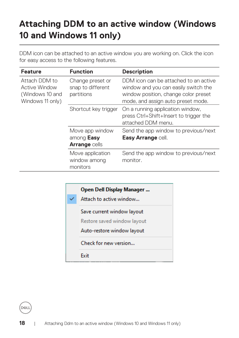#### <span id="page-17-0"></span>**Attaching DDM to an active window (Windows 10 and Windows 11 only)**

| <b>Feature</b>                                                        | <b>Function</b>                                       | <b>Description</b>                                                                                                                                          |
|-----------------------------------------------------------------------|-------------------------------------------------------|-------------------------------------------------------------------------------------------------------------------------------------------------------------|
| Attach DDM to<br>Active Window<br>(Windows 10 and<br>Windows 11 only) | Change preset or<br>snap to different<br>partitions   | DDM icon can be attached to an active<br>window and you can easily switch the<br>window position, change color preset<br>mode, and assign auto preset mode. |
|                                                                       | Shortcut key trigger                                  | On a running application window,<br>press Ctrl+Shift+Insert to trigger the<br>attached DDM menu.                                                            |
|                                                                       | Move app window<br>among Easy<br><b>Arrange cells</b> | Send the app window to previous/next<br>Easy Arrange cell.                                                                                                  |
|                                                                       | Move application<br>window among<br>monitors          | Send the app window to previous/next<br>monitor.                                                                                                            |

DDM icon can be attached to an active window you are working on. Click the icon for easy access to the following features.



DELL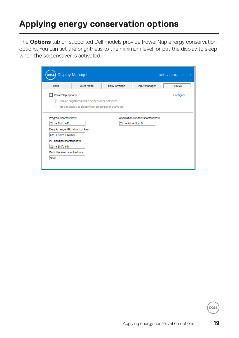#### <span id="page-18-0"></span>**Applying energy conservation options**

The **Options** tab on supported Dell models provide PowerNap energy conservation options. You can set the brightness to the minimum level, or put the display to sleep when the screensaver is activated.

| <b>Display Manager</b><br>DELI                                                                          |                                                                                                                                       |              |                      | Dell G3223D<br>$\boldsymbol{\mathsf{x}}$<br>-2 |  |
|---------------------------------------------------------------------------------------------------------|---------------------------------------------------------------------------------------------------------------------------------------|--------------|----------------------|------------------------------------------------|--|
| <b>Basic</b>                                                                                            | Auto Mode                                                                                                                             | Easy Arrange | <b>Input Manager</b> | Options                                        |  |
|                                                                                                         | PowerNap options:<br>Configure<br>Reduce brightness when screensaver activates<br>Put the display to sleep when screensaver activates |              |                      |                                                |  |
| Program shortcut key:<br>Application window shortcut key:<br>$Ctrl + Shift + D$<br>$Ctrl + Alt + Num 0$ |                                                                                                                                       |              |                      |                                                |  |
| Easy Arrange MRU shortcut key:<br>$Ctrl + Shift + Num 0$                                                |                                                                                                                                       |              |                      |                                                |  |
| PIP position shortcut key:<br>$Ctrl + Shift + N$                                                        |                                                                                                                                       |              |                      |                                                |  |
| Dark Stabilizer shortcut key:<br>None                                                                   |                                                                                                                                       |              |                      |                                                |  |
|                                                                                                         |                                                                                                                                       |              |                      |                                                |  |

**DEL**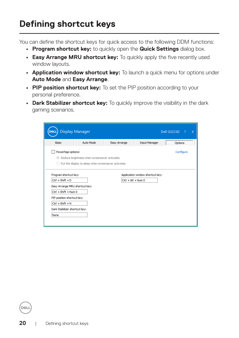### <span id="page-19-0"></span>**Defining shortcut keys**

You can define the shortcut keys for quick access to the following DDM functions:

- **• Program shortcut key:** to quickly open the **Quick Settings** dialog box.
- **• Easy Arrange MRU shortcut key:** To quickly apply the five recently used window layouts.
- **• Application window shortcut key:** To launch a quick menu for options under **Auto Mode** and **Easy Arrange**.
- **• PIP position shortcut key:** To set the PIP position according to your personal preference.
- **• Dark Stabilizer shortcut key:** To quickly improve the visibility in the dark gaming scenarios.

|                                                                                                         | <b>Display Manager</b>                                                                                                                |              |                      | Dell G3223D<br>$\mathbf{x}$<br>$\sim$ 2 |  |
|---------------------------------------------------------------------------------------------------------|---------------------------------------------------------------------------------------------------------------------------------------|--------------|----------------------|-----------------------------------------|--|
| <b>Basic</b>                                                                                            | Auto Mode                                                                                                                             | Easy Arrange | <b>Input Manager</b> | Options                                 |  |
|                                                                                                         | PowerNap options:<br>Configure<br>Reduce brightness when screensaver activates<br>Put the display to sleep when screensaver activates |              |                      |                                         |  |
| Application window shortcut key:<br>Program shortcut key:<br>$Ctrl + Shift + D$<br>$Ctrl + Alt + Num 0$ |                                                                                                                                       |              |                      |                                         |  |
| Easy Arrange MRU shortcut key:<br>$Ctrl + Shift + Num 0$                                                |                                                                                                                                       |              |                      |                                         |  |
| PIP position shortcut key:<br>$CtrI + Shift + N$<br>Dark Stabilizer shortcut key:                       |                                                                                                                                       |              |                      |                                         |  |
| None                                                                                                    |                                                                                                                                       |              |                      |                                         |  |

**D**ELI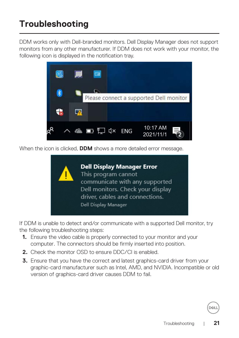### <span id="page-20-0"></span>**Troubleshooting**

DDM works only with Dell-branded monitors. Dell Display Manager does not support monitors from any other manufacturer. If DDM does not work with your monitor, the following icon is displayed in the notification tray.



When the icon is clicked, **DDM** shows a more detailed error message.



If DDM is unable to detect and/or communicate with a supported Dell monitor, try the following troubleshooting steps:

- **1.** Ensure the video cable is properly connected to your monitor and your computer. The connectors should be firmly inserted into position.
- **2.** Check the monitor OSD to ensure DDC/CI is enabled.
- **3.** Ensure that you have the correct and latest graphics-card driver from your graphic-card manufacturer such as Intel, AMD, and NVIDIA. Incompatible or old version of graphics-card driver causes DDM to fail.

DØ